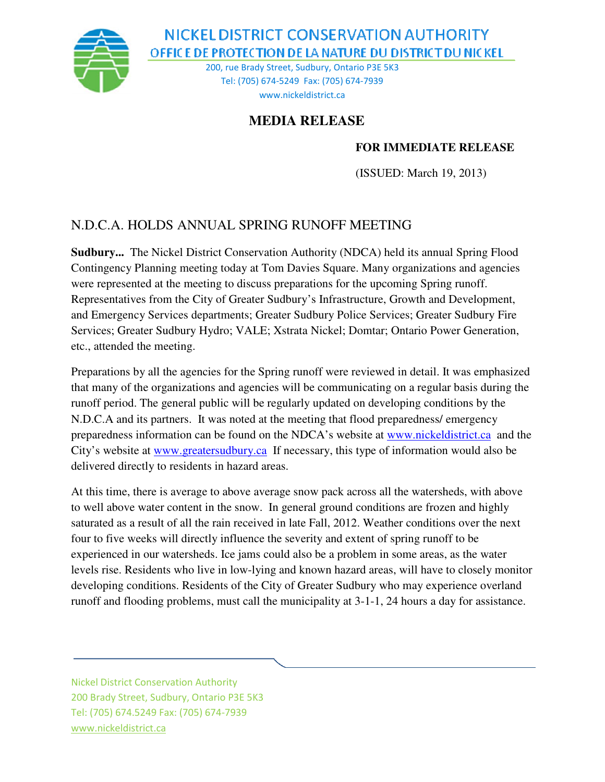

NICKEL DISTRICT CONSERVATION AUTHORITY OFFICE DE PROTECTION DE LA NATURE DU DISTRICT DU NICKEL

> 200, rue Brady Street, Sudbury, Ontario P3E 5K3 Tel: (705) 674-5249 Fax: (705) 674-7939 www.nickeldistrict.ca

## **MEDIA RELEASE**

## **FOR IMMEDIATE RELEASE**

(ISSUED: March 19, 2013)

## N.D.C.A. HOLDS ANNUAL SPRING RUNOFF MEETING

**Sudbury...** The Nickel District Conservation Authority (NDCA) held its annual Spring Flood Contingency Planning meeting today at Tom Davies Square. Many organizations and agencies were represented at the meeting to discuss preparations for the upcoming Spring runoff. Representatives from the City of Greater Sudbury's Infrastructure, Growth and Development, and Emergency Services departments; Greater Sudbury Police Services; Greater Sudbury Fire Services; Greater Sudbury Hydro; VALE; Xstrata Nickel; Domtar; Ontario Power Generation, etc., attended the meeting.

Preparations by all the agencies for the Spring runoff were reviewed in detail. It was emphasized that many of the organizations and agencies will be communicating on a regular basis during the runoff period. The general public will be regularly updated on developing conditions by the N.D.C.A and its partners. It was noted at the meeting that flood preparedness/ emergency preparedness information can be found on the NDCA's website at www.nickeldistrict.ca and the City's website at www.greatersudbury.ca If necessary, this type of information would also be delivered directly to residents in hazard areas.

At this time, there is average to above average snow pack across all the watersheds, with above to well above water content in the snow. In general ground conditions are frozen and highly saturated as a result of all the rain received in late Fall, 2012. Weather conditions over the next four to five weeks will directly influence the severity and extent of spring runoff to be experienced in our watersheds. Ice jams could also be a problem in some areas, as the water levels rise. Residents who live in low-lying and known hazard areas, will have to closely monitor developing conditions. Residents of the City of Greater Sudbury who may experience overland runoff and flooding problems, must call the municipality at 3-1-1, 24 hours a day for assistance.

Nickel District Conservation Authority 200 Brady Street, Sudbury, Ontario P3E 5K3 Tel: (705) 674.5249 Fax: (705) 674-7939 www.nickeldistrict.ca